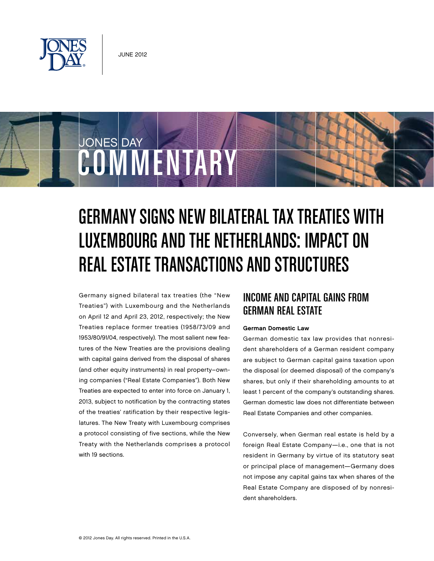

JONES DAY

# Germany Signs New Bilateral Tax Treaties With Luxembourg and the Netherlands: Impact on Real Estate Transactions and Structures

Germany signed bilateral tax treaties (the "New Treaties") with Luxembourg and the Netherlands on April 12 and April 23, 2012, respectively; the New Treaties replace former treaties (1958/73/09 and 1953/80/91/04, respectively). The most salient new features of the New Treaties are the provisions dealing with capital gains derived from the disposal of shares (and other equity instruments) in real property–owning companies ("Real Estate Companies"). Both New Treaties are expected to enter into force on January 1, 2013, subject to notification by the contracting states of the treaties' ratification by their respective legislatures. The New Treaty with Luxembourg comprises a protocol consisting of five sections, while the New Treaty with the Netherlands comprises a protocol with 19 sections.

COMMENTARY

# Income and Capital Gains from German Real Estate

#### German Domestic Law

German domestic tax law provides that nonresident shareholders of a German resident company are subject to German capital gains taxation upon the disposal (or deemed disposal) of the company's shares, but only if their shareholding amounts to at least 1 percent of the company's outstanding shares. German domestic law does not differentiate between Real Estate Companies and other companies.

Conversely, when German real estate is held by a foreign Real Estate Company—i.e., one that is not resident in Germany by virtue of its statutory seat or principal place of management—Germany does not impose any capital gains tax when shares of the Real Estate Company are disposed of by nonresident shareholders.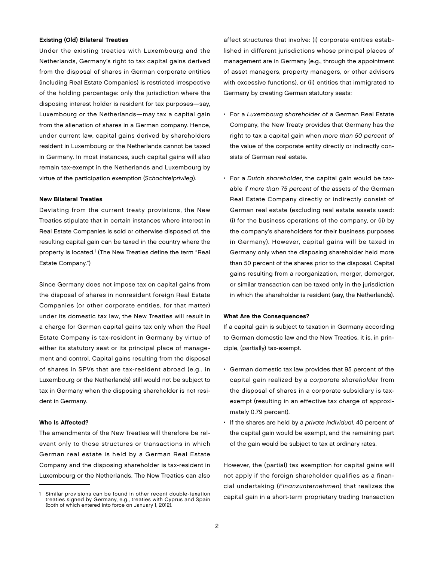#### Existing (Old) Bilateral Treaties

Under the existing treaties with Luxembourg and the Netherlands, Germany's right to tax capital gains derived from the disposal of shares in German corporate entities (including Real Estate Companies) is restricted irrespective of the holding percentage: only the jurisdiction where the disposing interest holder is resident for tax purposes—say, Luxembourg or the Netherlands—may tax a capital gain from the alienation of shares in a German company. Hence, under current law, capital gains derived by shareholders resident in Luxembourg or the Netherlands cannot be taxed in Germany. In most instances, such capital gains will also remain tax-exempt in the Netherlands and Luxembourg by virtue of the participation exemption (Schachtelprivileg).

#### New Bilateral Treaties

Deviating from the current treaty provisions, the New Treaties stipulate that in certain instances where interest in Real Estate Companies is sold or otherwise disposed of, the resulting capital gain can be taxed in the country where the property is located.<sup>1</sup> (The New Treaties define the term "Real Estate Company.")

Since Germany does not impose tax on capital gains from the disposal of shares in nonresident foreign Real Estate Companies (or other corporate entities, for that matter) under its domestic tax law, the New Treaties will result in a charge for German capital gains tax only when the Real Estate Company is tax-resident in Germany by virtue of either its statutory seat or its principal place of management and control. Capital gains resulting from the disposal of shares in SPVs that are tax-resident abroad (e.g., in Luxembourg or the Netherlands) still would not be subject to tax in Germany when the disposing shareholder is not resident in Germany.

#### Who Is Affected?

The amendments of the New Treaties will therefore be relevant only to those structures or transactions in which German real estate is held by a German Real Estate Company and the disposing shareholder is tax-resident in Luxembourg or the Netherlands. The New Treaties can also

affect structures that involve: (i) corporate entities established in different jurisdictions whose principal places of management are in Germany (e.g., through the appointment of asset managers, property managers, or other advisors with excessive functions), or (ii) entities that immigrated to Germany by creating German statutory seats:

- For a Luxembourg shareholder of a German Real Estate Company, the New Treaty provides that Germany has the right to tax a capital gain when more than 50 percent of the value of the corporate entity directly or indirectly consists of German real estate.
- For a Dutch shareholder, the capital gain would be taxable if more than 75 percent of the assets of the German Real Estate Company directly or indirectly consist of German real estate (excluding real estate assets used: (i) for the business operations of the company, or (ii) by the company's shareholders for their business purposes in Germany). However, capital gains will be taxed in Germany only when the disposing shareholder held more than 50 percent of the shares prior to the disposal. Capital gains resulting from a reorganization, merger, demerger, or similar transaction can be taxed only in the jurisdiction in which the shareholder is resident (say, the Netherlands).

#### What Are the Consequences?

If a capital gain is subject to taxation in Germany according to German domestic law and the New Treaties, it is, in principle, (partially) tax-exempt.

- German domestic tax law provides that 95 percent of the capital gain realized by a corporate shareholder from the disposal of shares in a corporate subsidiary is taxexempt (resulting in an effective tax charge of approximately 0.79 percent).
- If the shares are held by a private individual, 40 percent of the capital gain would be exempt, and the remaining part of the gain would be subject to tax at ordinary rates.

However, the (partial) tax exemption for capital gains will not apply if the foreign shareholder qualifies as a financial undertaking (Finanzunternehmen) that realizes the capital gain in a short-term proprietary trading transaction

<sup>1</sup> Similar provisions can be found in other recent double-taxation treaties signed by Germany, e.g., treaties with Cyprus and Spain (both of which entered into force on January 1, 2012).